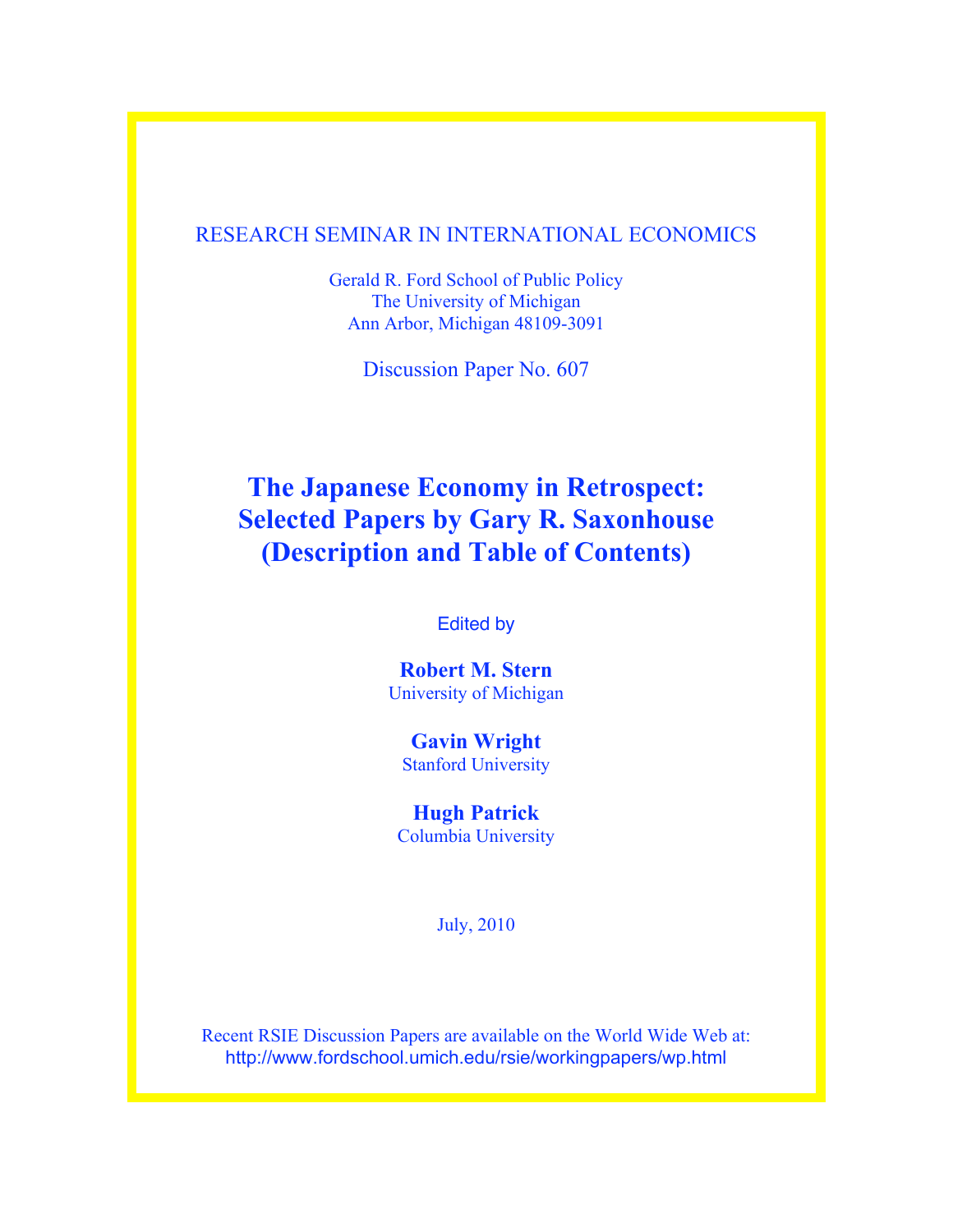#### RESEARCH SEMINAR IN INTERNATIONAL ECONOMICS

Gerald R. Ford School of Public Policy The University of Michigan Ann Arbor, Michigan 48109-3091

Discussion Paper No. 607

# **The Japanese Economy in Retrospect: Selected Papers by Gary R. Saxonhouse (Description and Table of Contents)**

Edited by

**Robert M. Stern** University of Michigan

**Gavin Wright** Stanford University

**Hugh Patrick** Columbia University

July, 2010

Recent RSIE Discussion Papers are available on the World Wide Web at: http://www.fordschool.umich.edu/rsie/workingpapers/wp.html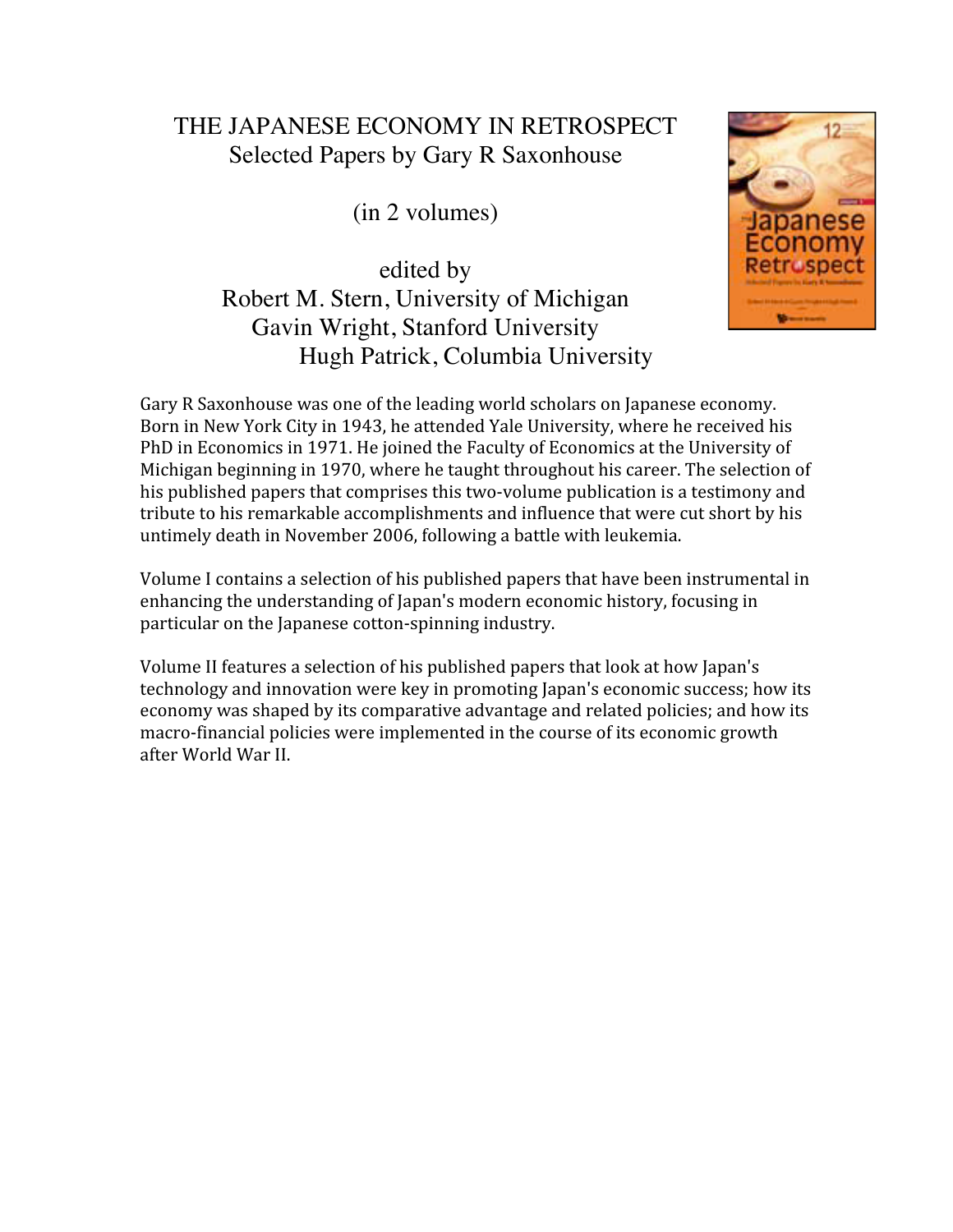## THE JAPANESE ECONOMY IN RETROSPECT Selected Papers by Gary R Saxonhouse

(in 2 volumes)

edited by Robert M. Stern, University of Michigan Gavin Wright, Stanford University Hugh Patrick, Columbia University



Gary R Saxonhouse was one of the leading world scholars on Japanese economy. Born
in
New
York
City
in
1943,
he
attended
Yale
University,
where
he
received
his PhD in Economics in 1971. He joined the Faculty of Economics at the University of Michigan beginning in 1970, where he taught throughout his career. The selection of his published papers that comprises this two-volume publication is a testimony and tribute to his remarkable accomplishments and influence that were cut short by his untimely
death
in
November
2006,
following
a
battle
with
leukemia.

Volume I contains a selection of his published papers that have been instrumental in enhancing
the
understanding
of
Japan's
modern
economic
history,
focusing
in particular
on
the
Japanese
cotton‐spinning
industry.

Volume
II
features
a
selection
of
his
published
papers
that
look
at
how
Japan's technology and innovation were key in promoting Japan's economic success; how its economy was shaped by its comparative advantage and related policies; and how its macro‐financial
policies
were
implemented
in
the
course
of
its
economic
growth after
World
War
II.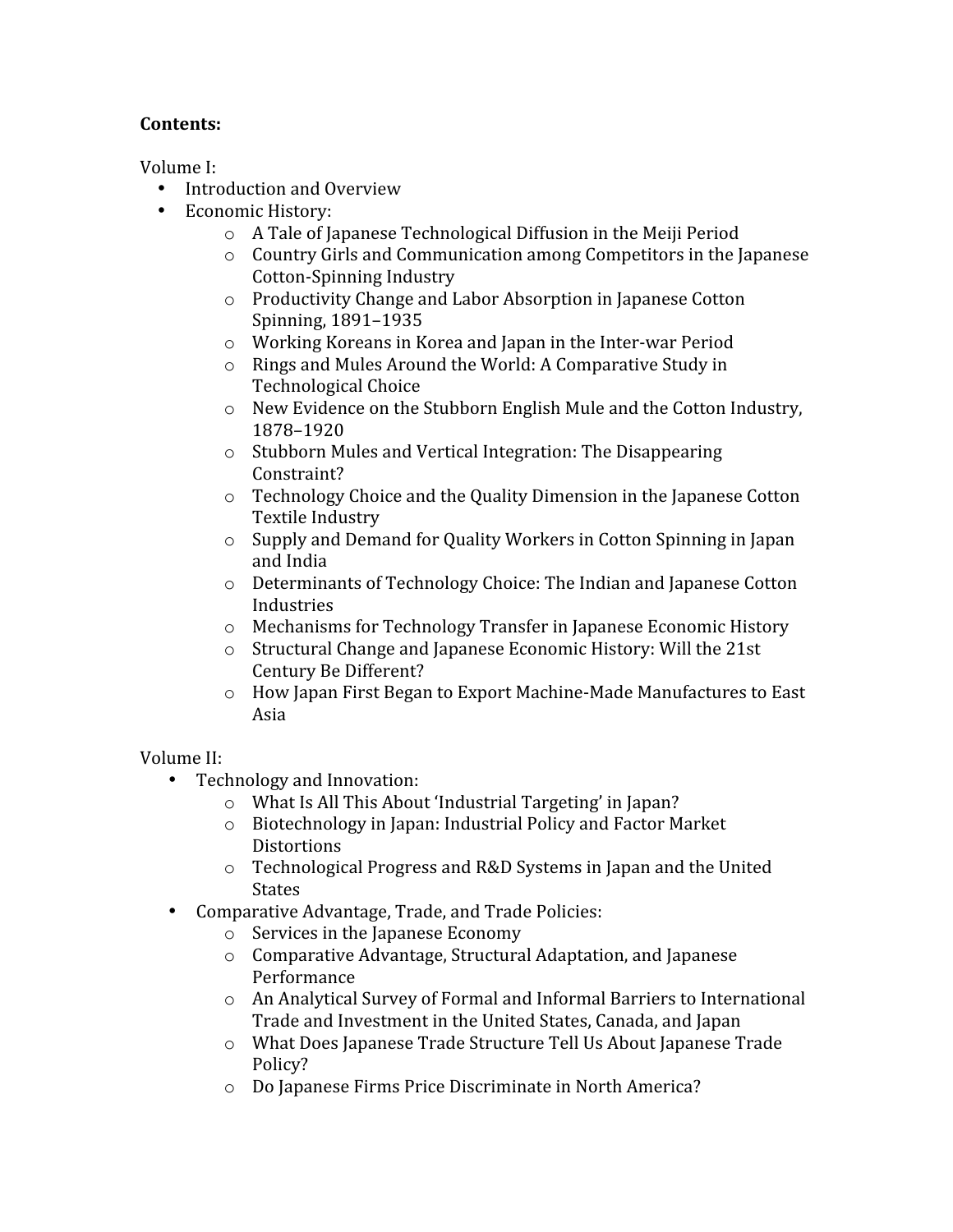### **Contents:**

Volume
I:

- Introduction and Overview
- Economic
History:
	- o A
	Tale
	of
	Japanese
	Technological
	Diffusion
	in
	the
	Meiji
	Period
	- $\circ$  Country Girls and Communication among Competitors in the Japanese Cotton‐Spinning
	Industry
	- o Productivity
	Change
	and
	Labor
	Absorption
	in
	Japanese
	Cotton Spinning,
	1891–1935
	- o Working
	Koreans
	in
	Korea
	and
	Japan
	in
	the
	Inter‐war
	Period
	- o Rings
	and
	Mules
	Around
	the
	World:
	A
	Comparative
	Study
	in Technological
	Choice
	- o New
	Evidence
	on
	the
	Stubborn
	English
	Mule
	and
	the
	Cotton
	Industry, 1878–1920
	- o Stubborn
	Mules
	and
	Vertical
	Integration:
	The
	Disappearing Constraint?
	- o Technology
	Choice
	and
	the
	Quality
	Dimension
	in
	the
	Japanese
	Cotton Textile
	Industry
	- o Supply
	and
	Demand
	for
	Quality
	Workers
	in
	Cotton
	Spinning
	in
	Japan and
	India
	- o Determinants
	of
	Technology
	Choice:
	The
	Indian
	and
	Japanese
	Cotton Industries
	- o Mechanisms
	for
	Technology
	Transfer
	in
	Japanese
	Economic
	History
	- o Structural
	Change
	and
	Japanese
	Economic
	History:
	Will
	the
	21st Century
	Be
	Different?
	- o How
	Japan
	First
	Began
	to
	Export
	Machine‐Made
	Manufactures
	to
	East Asia

### Volume
II:

- Technology
and
Innovation:
	- o What
	Is
	All
	This
	About
	'Industrial
	Targeting'
	in
	Japan?
	- o Biotechnology
	in
	Japan:
	Industrial
	Policy
	and
	Factor
	Market **Distortions**
	- o Technological
	Progress
	and
	R&D
	Systems
	in
	Japan
	and
	the
	United States
- Comparative
Advantage,
Trade,
and
Trade
Policies:
	- o Services
	in
	the
	Japanese
	Economy
	- o Comparative
	Advantage,
	Structural
	Adaptation,
	and
	Japanese Performance
	- o An
	Analytical
	Survey
	of
	Formal
	and
	Informal
	Barriers
	to
	International Trade
	and
	Investment
	in
	the
	United
	States,
	Canada,
	and
	Japan
	- o What
	Does
	Japanese
	Trade
	Structure
	Tell
	Us
	About
	Japanese
	Trade Policy?
	- o Do
	Japanese
	Firms
	Price
	Discriminate
	in
	North
	America?